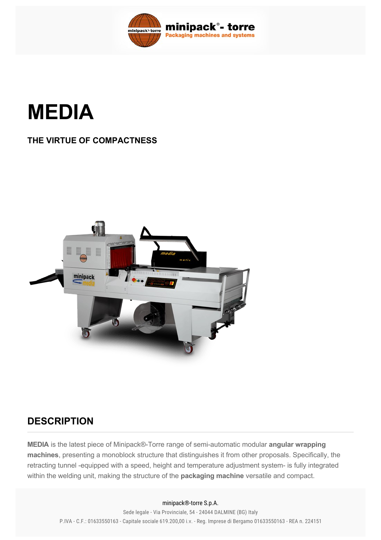

**MEDIA**

## **THE VIRTUE OF COMPACTNESS**



## **DESCRIPTION**

**MEDIA** is the latest piece of Minipack®-Torre range of semi-automatic modular **angular wrapping machines**, presenting a monoblock structure that distinguishes it from other proposals. Specifically, the retracting tunnel -equipped with a speed, height and temperature adjustment system- is fully integrated within the welding unit, making the structure of the **packaging machine** versatile and compact.

## welcoated blades, which guarantee the presence of  $T$ efloncoated blades, which guarantee the complete absence of  $\mathcal{L}$ minipack®-torre S.p.A.

Sede legale - Via Provinciale, 54 - 24044 DALMINE (BG) Italy P.IVA - C.F.: 01633550163 - Capitale sociale 619.200,00 i.v. - Reg. Imprese di Bergamo 01633550163 - REA n. 224151